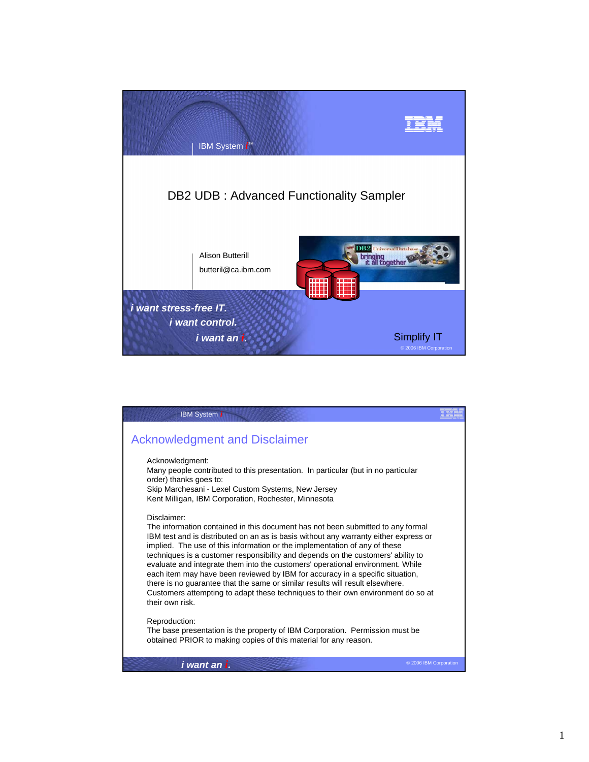

| <b>IBM System i</b>                                                                                                                                                                                                                                                                                                                                                                                                                                                                                                                                                                                                                                                                                                 |                        |
|---------------------------------------------------------------------------------------------------------------------------------------------------------------------------------------------------------------------------------------------------------------------------------------------------------------------------------------------------------------------------------------------------------------------------------------------------------------------------------------------------------------------------------------------------------------------------------------------------------------------------------------------------------------------------------------------------------------------|------------------------|
| <b>Acknowledgment and Disclaimer</b>                                                                                                                                                                                                                                                                                                                                                                                                                                                                                                                                                                                                                                                                                |                        |
| Acknowledgment:<br>Many people contributed to this presentation. In particular (but in no particular<br>order) thanks goes to:<br>Skip Marchesani - Lexel Custom Systems, New Jersey<br>Kent Milligan, IBM Corporation, Rochester, Minnesota                                                                                                                                                                                                                                                                                                                                                                                                                                                                        |                        |
| Disclaimer:<br>The information contained in this document has not been submitted to any formal<br>IBM test and is distributed on an as is basis without any warranty either express or<br>implied. The use of this information or the implementation of any of these<br>techniques is a customer responsibility and depends on the customers' ability to<br>evaluate and integrate them into the customers' operational environment. While<br>each item may have been reviewed by IBM for accuracy in a specific situation,<br>there is no guarantee that the same or similar results will result elsewhere.<br>Customers attempting to adapt these techniques to their own environment do so at<br>their own risk. |                        |
| Reproduction:<br>The base presentation is the property of IBM Corporation. Permission must be<br>obtained PRIOR to making copies of this material for any reason.                                                                                                                                                                                                                                                                                                                                                                                                                                                                                                                                                   |                        |
| i want an i.                                                                                                                                                                                                                                                                                                                                                                                                                                                                                                                                                                                                                                                                                                        | © 2006 IBM Corporation |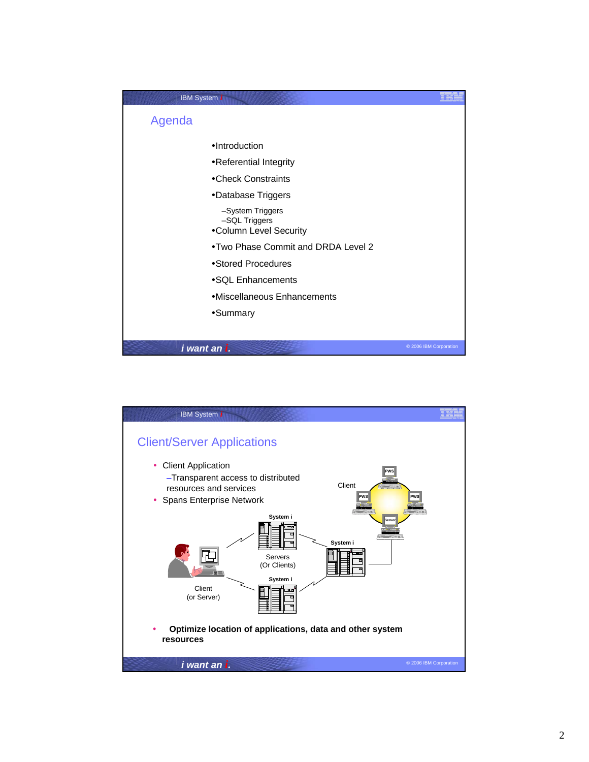

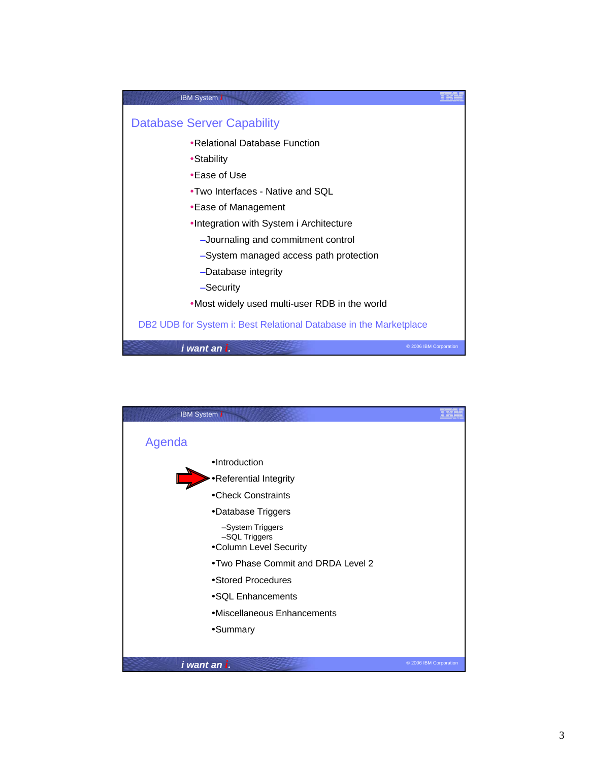

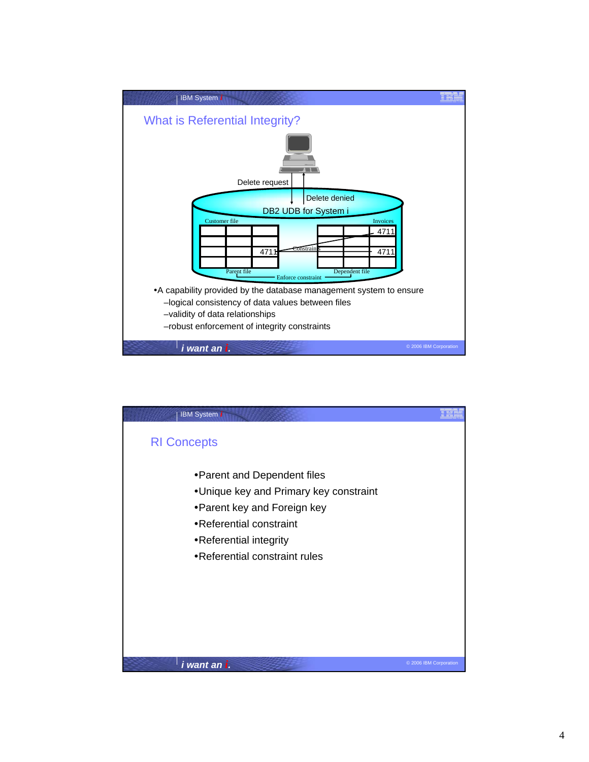

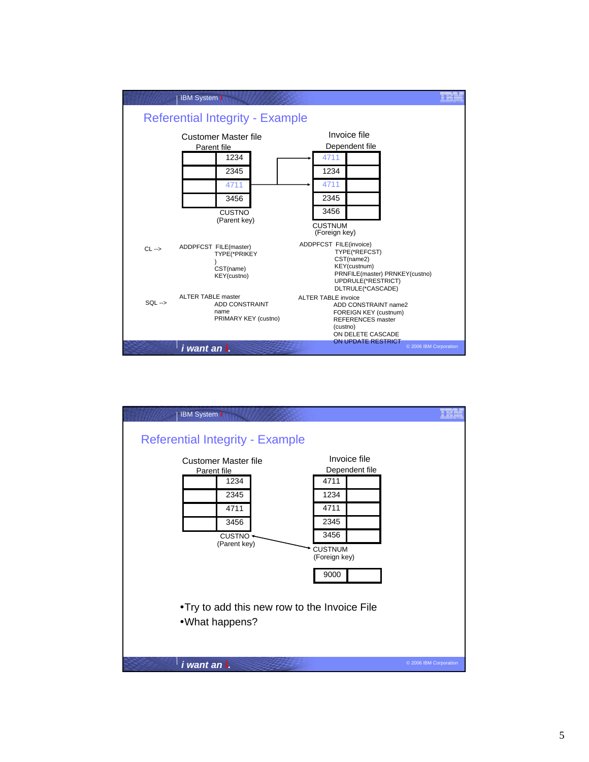

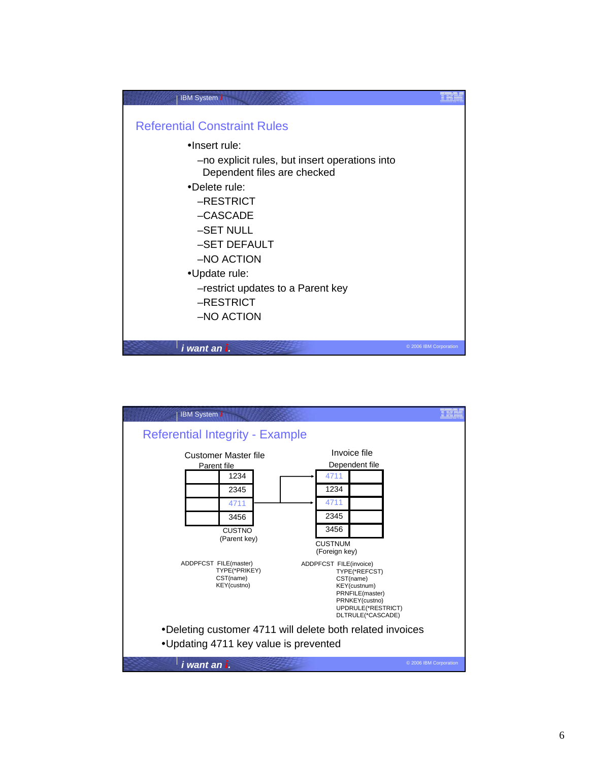

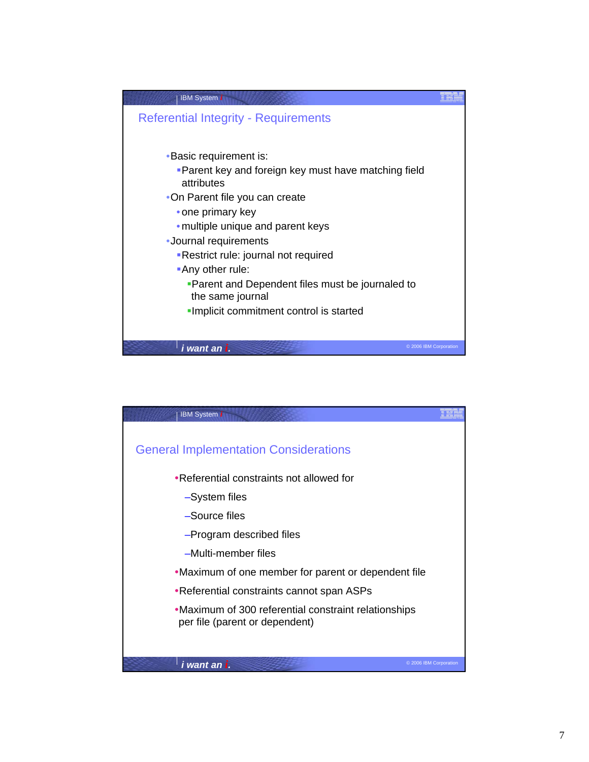

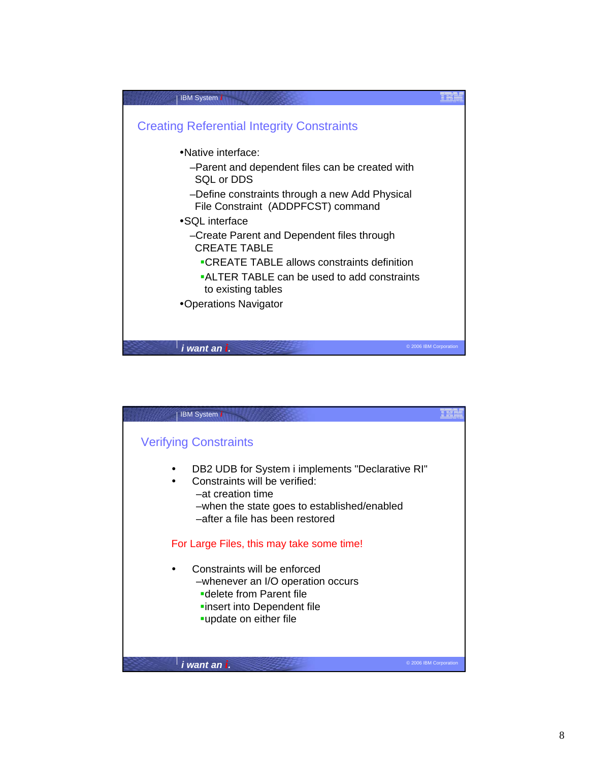

| <b>IBM System i</b>                                                                                                                                                                      |  |
|------------------------------------------------------------------------------------------------------------------------------------------------------------------------------------------|--|
| <b>Verifying Constraints</b>                                                                                                                                                             |  |
| DB2 UDB for System i implements "Declarative RI"<br>Constraints will be verified:<br>-at creation time<br>-when the state goes to established/enabled<br>-after a file has been restored |  |
| For Large Files, this may take some time!                                                                                                                                                |  |
| Constraints will be enforced<br>-whenever an I/O operation occurs<br>■delete from Parent file<br>linsert into Dependent file<br>update on either file                                    |  |
| © 2006 IBM Corporation<br>i want an i.                                                                                                                                                   |  |
|                                                                                                                                                                                          |  |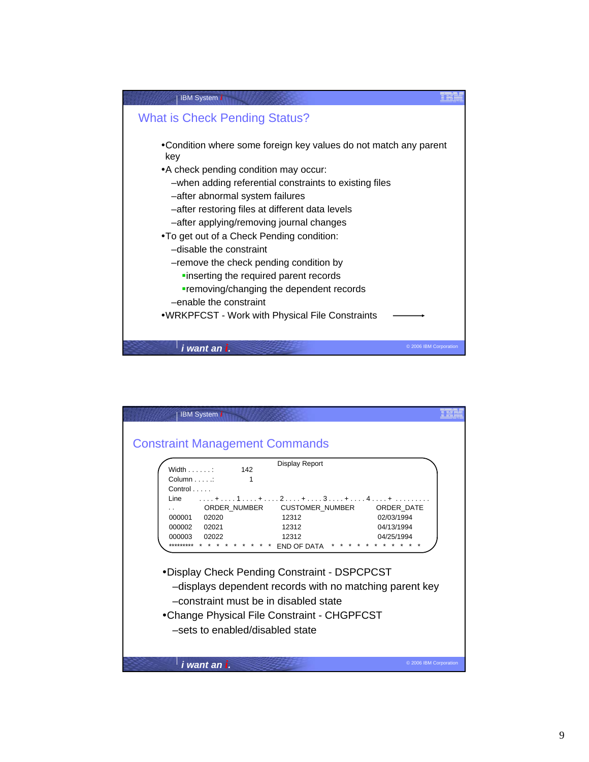

| <b>IBM System i</b>                                                                                                                                                                                                                                                                                                                        |                        |
|--------------------------------------------------------------------------------------------------------------------------------------------------------------------------------------------------------------------------------------------------------------------------------------------------------------------------------------------|------------------------|
| <b>Constraint Management Commands</b><br>Display Report                                                                                                                                                                                                                                                                                    |                        |
| Width :<br>142<br>$Column \dots$<br>$Control \dots$                                                                                                                                                                                                                                                                                        |                        |
| $\ldots$ + $\ldots$ 1 $\ldots$ + $\ldots$ 2 $\ldots$ + $\ldots$ 3 $\ldots$ + $\ldots$ 4 $\ldots$ + $\ldots$<br>Line<br>ORDER NUMBER<br><b>CUSTOMER NUMBER</b><br>ORDER DATE<br>. .<br>000001 02020<br>12312<br>02/03/1994<br>12312<br>04/13/1994<br>000002 02021<br>12312<br>000003 02022<br>04/25/1994<br>*********<br><b>END OF DATA</b> |                        |
| • Display Check Pending Constraint - DSPCPCST<br>-displays dependent records with no matching parent key<br>-constraint must be in disabled state                                                                                                                                                                                          |                        |
| •Change Physical File Constraint - CHGPFCST<br>-sets to enabled/disabled state                                                                                                                                                                                                                                                             |                        |
| i want an i.                                                                                                                                                                                                                                                                                                                               | © 2006 IBM Corporation |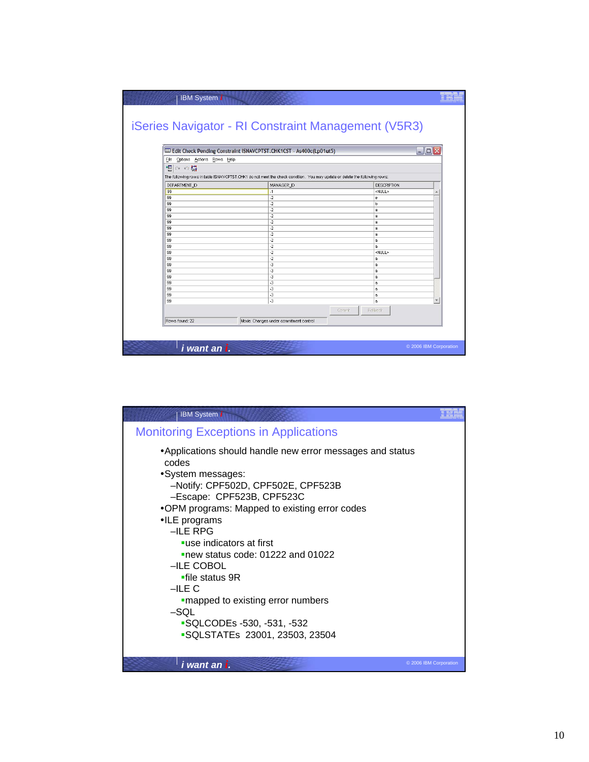|                                | Edit Check Pending Constraint ISNAVCPTST.CHK1CST - As400c(Lp01ut5)                                                        | $\blacksquare$ $\blacksquare$ $\times$ |
|--------------------------------|---------------------------------------------------------------------------------------------------------------------------|----------------------------------------|
| File Options Actions Rows Help |                                                                                                                           |                                        |
|                                |                                                                                                                           |                                        |
| 想○の肆                           |                                                                                                                           |                                        |
|                                | The following rows in table ISNAVCPTST.CHK1 do not meet the check condition. You may update or delete the following rows: |                                        |
| DEPARTMENT_ID                  | MANAGER_ID                                                                                                                | <b>DESCRIPTION</b>                     |
| 99                             | $-1$                                                                                                                      | <null></null>                          |
| 99                             | $-2$                                                                                                                      | e                                      |
| 99                             | $-2$                                                                                                                      | b                                      |
| 99                             | $-2$                                                                                                                      | a                                      |
| 99                             | $-2$                                                                                                                      | a                                      |
| 99                             | $-2$                                                                                                                      | a                                      |
| 99<br>99                       | $-2$<br>$\overline{2}$                                                                                                    | a<br>å                                 |
| 99                             | $\cdot$ 2                                                                                                                 | å                                      |
| 99                             | $-2$                                                                                                                      | a                                      |
| 99                             | $-2$                                                                                                                      | <null></null>                          |
| 99                             | $-2$                                                                                                                      | a                                      |
| 99                             | $-3$                                                                                                                      | a                                      |
| 99                             | $-3$                                                                                                                      | å                                      |
| 99                             | $\cdot$ 3                                                                                                                 | a                                      |
| 99                             | $-3$                                                                                                                      | a                                      |
| 99                             | $-3$                                                                                                                      | a                                      |
| 99                             | $\overline{3}$                                                                                                            | a                                      |
| 99                             | $-3$                                                                                                                      | å                                      |
|                                |                                                                                                                           | Commit<br>Rollback                     |
|                                |                                                                                                                           |                                        |

| <b>IBM System i</b>                                                                                                                                                                                                                                                                                                                                                                                                                                                                             |                        |
|-------------------------------------------------------------------------------------------------------------------------------------------------------------------------------------------------------------------------------------------------------------------------------------------------------------------------------------------------------------------------------------------------------------------------------------------------------------------------------------------------|------------------------|
| <b>Monitoring Exceptions in Applications</b>                                                                                                                                                                                                                                                                                                                                                                                                                                                    |                        |
| •Applications should handle new error messages and status<br>codes<br>•System messages:<br>-Notify: CPF502D, CPF502E, CPF523B<br>-Escape: CPF523B, CPF523C<br>•OPM programs: Mapped to existing error codes<br>•ILE programs<br>$-ILE$ RPG<br>■use indicators at first<br>new status code: 01222 and 01022<br>-ILE COBOL<br>$\blacksquare$ file status 9R<br>$-ILEC$<br>"mapped to existing error numbers<br>$-SQL$<br><b>SQLCODEs -530, -531, -532</b><br><b>SQLSTATEs 23001, 23503, 23504</b> |                        |
| i want an i.                                                                                                                                                                                                                                                                                                                                                                                                                                                                                    | © 2006 IBM Corporation |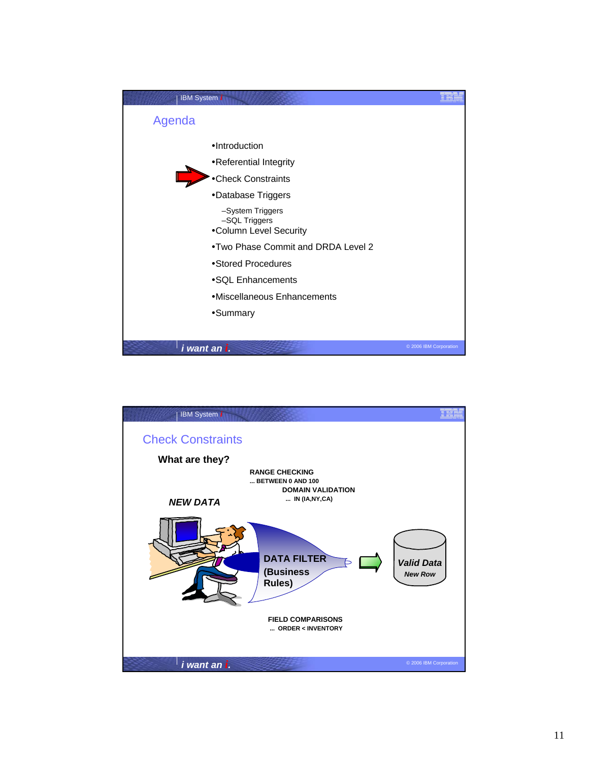

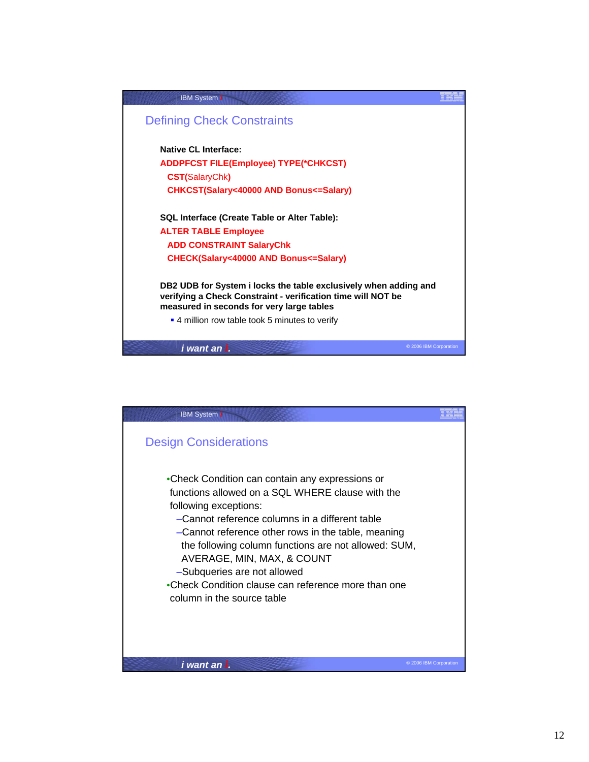

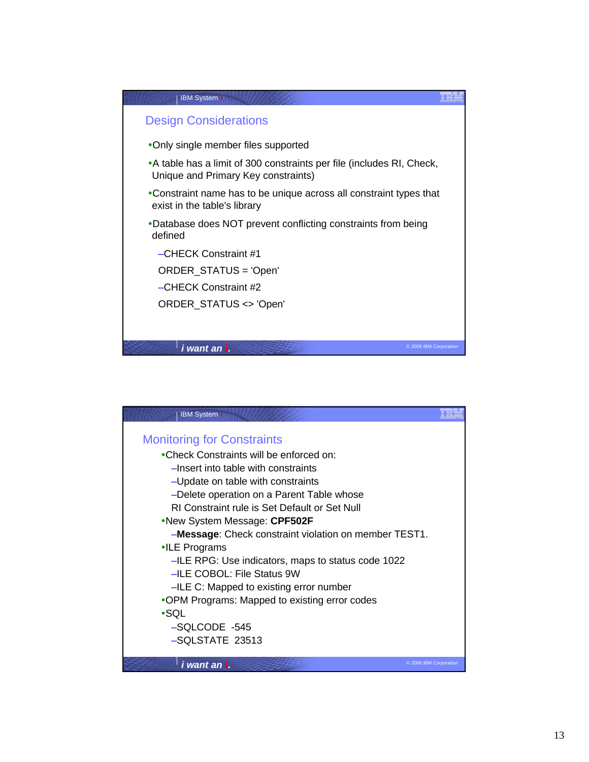

| <b>IBM System i</b>                                          |  |
|--------------------------------------------------------------|--|
|                                                              |  |
| <b>Monitoring for Constraints</b>                            |  |
| •Check Constraints will be enforced on:                      |  |
| -Insert into table with constraints                          |  |
| -Update on table with constraints                            |  |
| -Delete operation on a Parent Table whose                    |  |
| RI Constraint rule is Set Default or Set Null                |  |
| •New System Message: CPF502F                                 |  |
| <b>-Message:</b> Check constraint violation on member TEST1. |  |
| $\cdot$ ILE Programs                                         |  |
| -ILE RPG: Use indicators, maps to status code 1022           |  |
| -ILE COBOL: File Status 9W                                   |  |
| -ILE C: Mapped to existing error number                      |  |
| •OPM Programs: Mapped to existing error codes                |  |
| $\cdot$ SQL                                                  |  |
| -SQLCODE -545                                                |  |
| -SQLSTATE 23513                                              |  |
|                                                              |  |
| i want an i.<br>© 2006 IBM Corporation                       |  |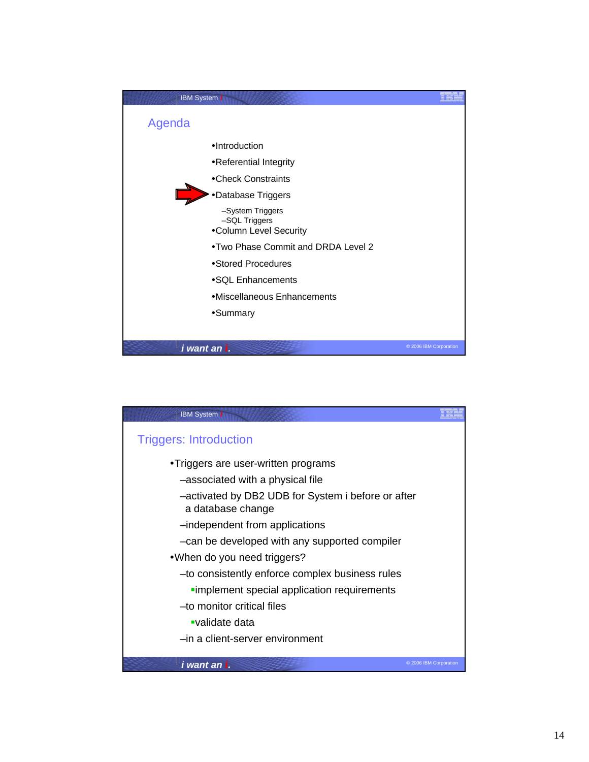

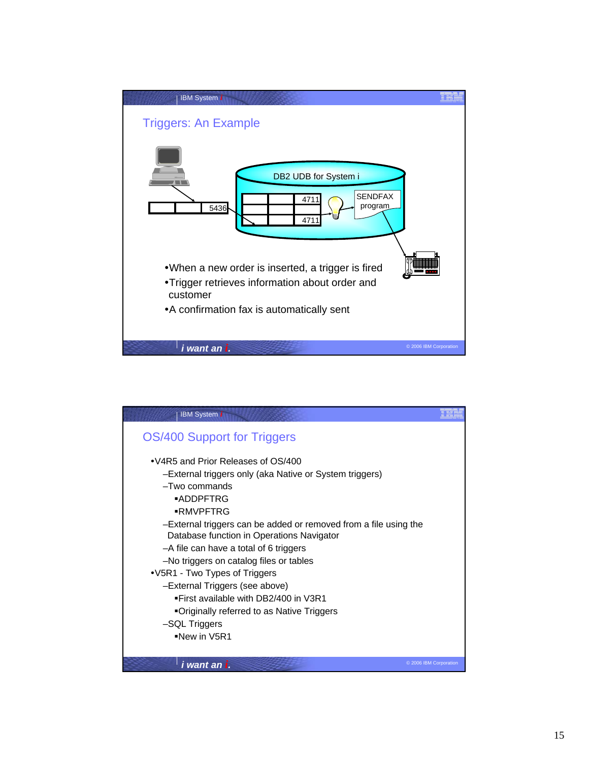

| <b>IBM System i</b>                                                                                           |                        |
|---------------------------------------------------------------------------------------------------------------|------------------------|
| OS/400 Support for Triggers                                                                                   |                        |
| • V4R5 and Prior Releases of OS/400                                                                           |                        |
| -External triggers only (aka Native or System triggers)<br>$-Two$ commands                                    |                        |
| ■ADDPFTRG                                                                                                     |                        |
| ■RMVPFTRG                                                                                                     |                        |
| -External triggers can be added or removed from a file using the<br>Database function in Operations Navigator |                        |
| -A file can have a total of 6 triggers                                                                        |                        |
| -No triggers on catalog files or tables                                                                       |                        |
| •V5R1 - Two Types of Triggers                                                                                 |                        |
| -External Triggers (see above)                                                                                |                        |
| . First available with DB2/400 in V3R1                                                                        |                        |
| ■Originally referred to as Native Triggers                                                                    |                        |
| -SQL Triggers                                                                                                 |                        |
| $\blacksquare$ New in V5R1                                                                                    |                        |
| i want an i.                                                                                                  | © 2006 IBM Corporation |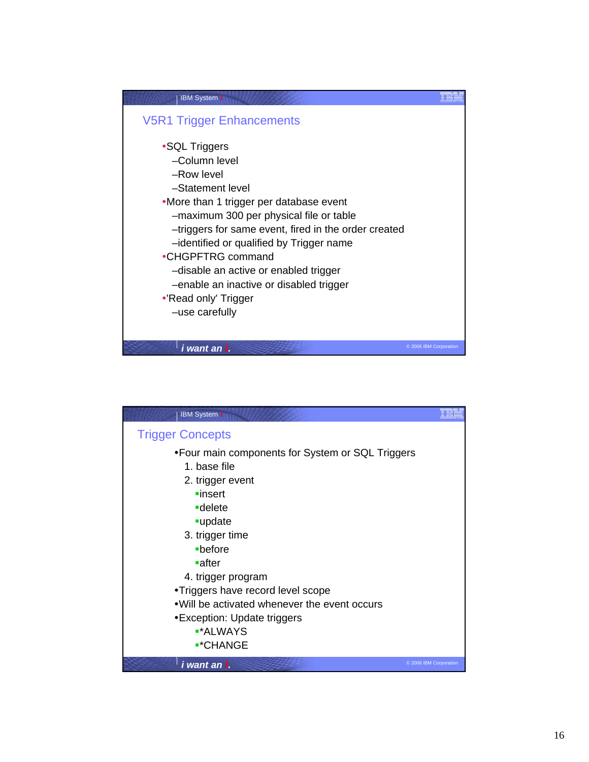

| <b>IBM</b> System i                                                                                                                                                                                                                                                                                                                                            |                        |
|----------------------------------------------------------------------------------------------------------------------------------------------------------------------------------------------------------------------------------------------------------------------------------------------------------------------------------------------------------------|------------------------|
| <b>Trigger Concepts</b>                                                                                                                                                                                                                                                                                                                                        |                        |
| • Four main components for System or SQL Triggers<br>1. base file<br>2. trigger event<br>$\blacksquare$ insert<br><b>-</b> delete<br>-update<br>3. trigger time<br>-before<br>∎after<br>4. trigger program<br>•Triggers have record level scope<br>. Will be activated whenever the event occurs<br>•Exception: Update triggers<br>■*ALWAYS<br><b>■*CHANGE</b> |                        |
| i want an i.                                                                                                                                                                                                                                                                                                                                                   | © 2006 IBM Corporation |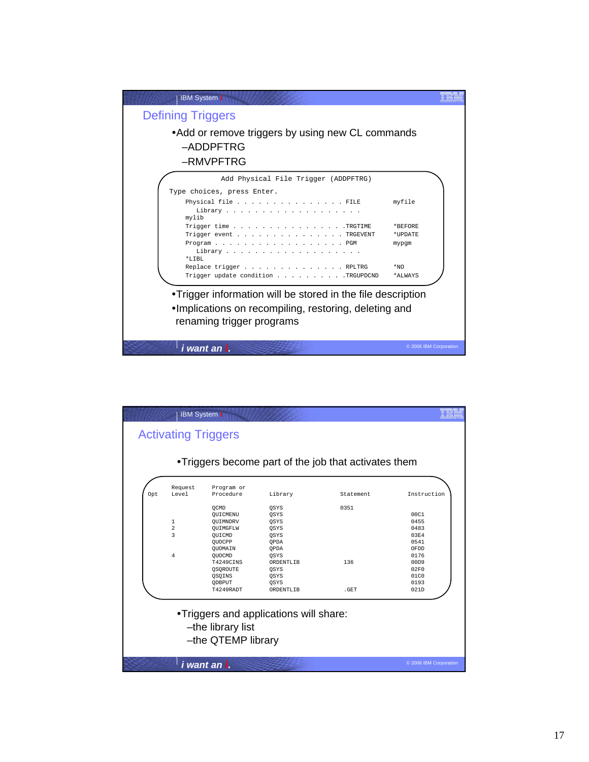

| Opt | Request<br>Level | Program or<br>Procedure | Library   | Statement | Instruction |
|-----|------------------|-------------------------|-----------|-----------|-------------|
|     |                  | OCMD                    | OSYS      | 0351      |             |
|     |                  | OUICMENU                | OSYS      |           | 00C1        |
|     | 1                | OUIMNDRV                | OSYS      |           | 0455        |
|     | 2                | OUIMGFLW                | OSYS      |           | 0483        |
|     | 3                | OUICMD                  | OSYS      |           | 03E4        |
|     |                  | OUOCPP                  | OPDA      |           | 0541        |
|     |                  | OUOMAIN                 | OPDA      |           | OFDD        |
|     | 4                | OUOCMD                  | OSYS      |           | 0176        |
|     |                  | <b>T4249CINS</b>        | ORDENTLIB | 136       | 00D9        |
|     |                  | OSOROUTE                | OSYS      |           | 02F0        |
|     |                  | OSOINS                  | OSYS      |           | 01C0        |
|     |                  | ODBPUT                  | OSYS      |           | 0193        |
|     |                  | T4249RADT               | ORDENTLIB | .GET      | 021D        |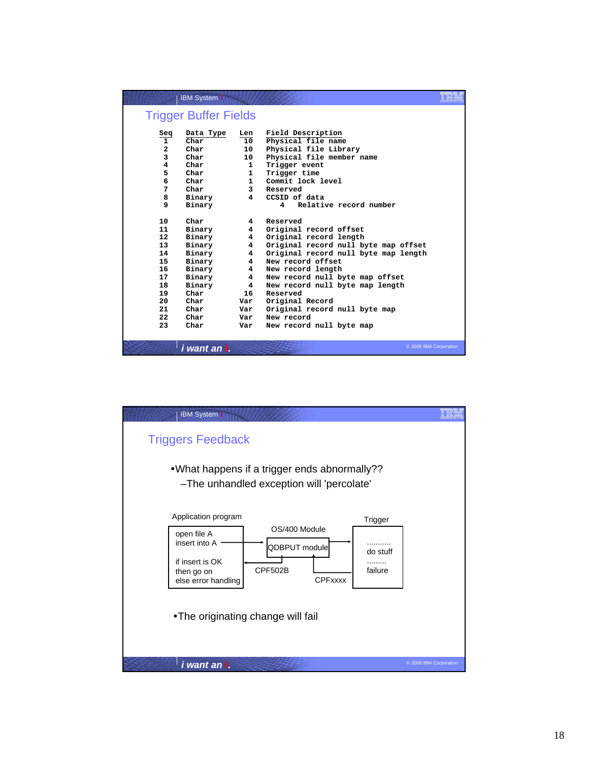|                   | <b>IBM System i</b>          |                         |                                      |  |
|-------------------|------------------------------|-------------------------|--------------------------------------|--|
|                   | <b>Trigger Buffer Fields</b> |                         |                                      |  |
| Seq               | Data Type                    | Len                     | Field Description                    |  |
| $\mathbf{1}$      | Char                         | 10                      | Physical file name                   |  |
| $\overline{a}$    | Char                         | 10                      | Physical file Library                |  |
| 3                 | Char                         | 10                      | Physical file member name            |  |
| 4                 | Char                         | $\mathbf{1}$            | Trigger event                        |  |
| 5                 | Char                         | $\mathbf{1}$            | Trigger time                         |  |
| 6                 | Char                         | $\mathbf{1}$            | Commit lock level                    |  |
| 7                 | Char                         | 3                       | Reserved                             |  |
| 8                 | Binary                       | 4                       | CCSID of data                        |  |
| 9                 | Binary                       |                         | Relative record number<br>4          |  |
|                   |                              |                         |                                      |  |
| 10                | Char                         | 4                       | Reserved                             |  |
| 11                | Binary                       | 4                       | Original record offset               |  |
| 12                | Binary                       | 4                       | Original record length               |  |
| 13                | Binary                       | $\overline{\mathbf{4}}$ | Original record null byte map offset |  |
| 14                | Binary                       | $\overline{4}$          | Original record null byte map length |  |
| 15                | Binary                       | 4                       | New record offset                    |  |
| 16                | Binary                       | $\overline{4}$          | New record length                    |  |
| 17                | Binary                       | $\overline{\mathbf{4}}$ | New record null byte map offset      |  |
| 18                | Binary                       | $\overline{4}$          | New record null byte map length      |  |
| 19                | Char                         | 16                      | Reserved                             |  |
| 20                | Char                         | Var                     | Original Record                      |  |
| 21                | Char                         | Var                     | Original record null byte map        |  |
| $22 \overline{ }$ | Char                         | Var                     | New record                           |  |
| 23                | Char                         | Var                     | New record null byte map             |  |
|                   |                              |                         |                                      |  |
|                   | i want an i.                 |                         | © 2006 IBM Corporation               |  |

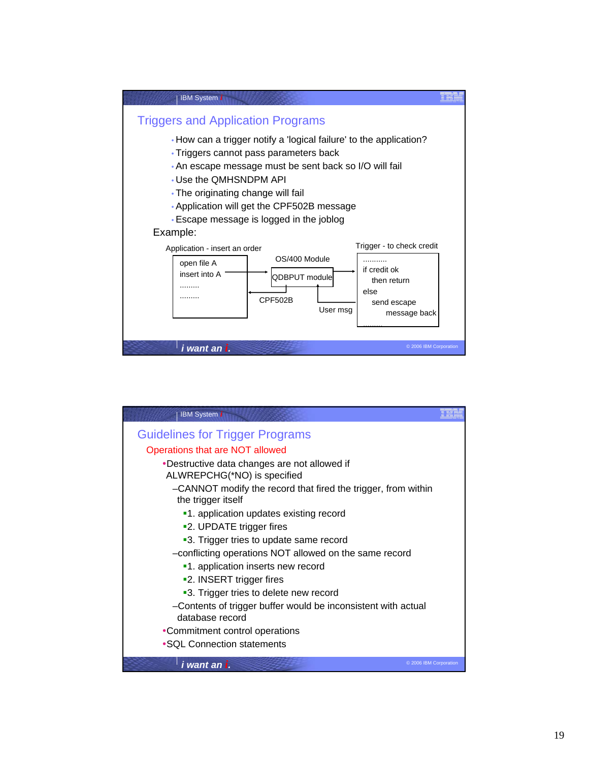

| <b>IBM System i</b>                                                                 |  |
|-------------------------------------------------------------------------------------|--|
| <b>Guidelines for Trigger Programs</b>                                              |  |
| Operations that are NOT allowed                                                     |  |
| •Destructive data changes are not allowed if<br>ALWREPCHG(*NO) is specified         |  |
| -CANNOT modify the record that fired the trigger, from within<br>the trigger itself |  |
| •1. application updates existing record                                             |  |
| •2. UPDATE trigger fires                                                            |  |
| •3. Trigger tries to update same record                                             |  |
| -conflicting operations NOT allowed on the same record                              |  |
| •1. application inserts new record                                                  |  |
| •2. INSERT trigger fires                                                            |  |
| •3. Trigger tries to delete new record                                              |  |
| -Contents of trigger buffer would be inconsistent with actual<br>database record    |  |
| •Commitment control operations                                                      |  |
| •SQL Connection statements                                                          |  |
| © 2006 IBM Corporation<br>i want an i.                                              |  |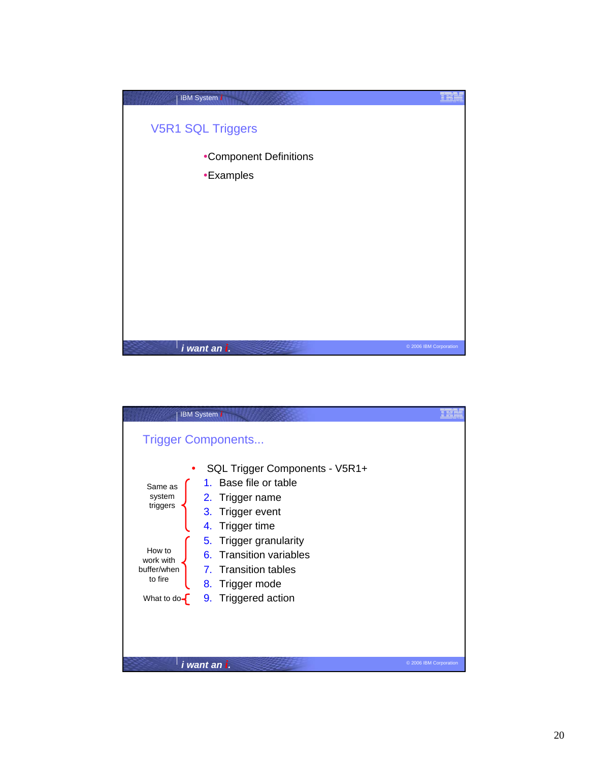

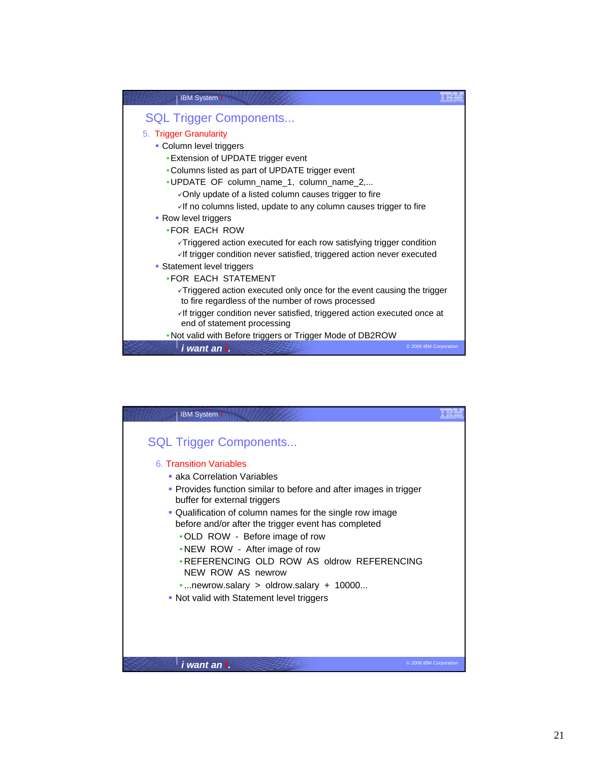

| <b>IBM System i</b>                                                                                                                                                                                                                                                                                                                                                                                                                 |  |
|-------------------------------------------------------------------------------------------------------------------------------------------------------------------------------------------------------------------------------------------------------------------------------------------------------------------------------------------------------------------------------------------------------------------------------------|--|
| <b>SQL Trigger Components</b><br>6. Transition Variables<br>• aka Correlation Variables<br>• Provides function similar to before and after images in trigger<br>buffer for external triggers<br>. Qualification of column names for the single row image<br>before and/or after the trigger event has completed<br>• OLD ROW - Before image of row<br>• NEW ROW - After image of row<br>• REFERENCING OLD ROW AS oldrow REFERENCING |  |
| NEW ROW AS newrow<br>newrow.salary $>$ oldrow.salary + 10000<br>• Not valid with Statement level triggers                                                                                                                                                                                                                                                                                                                           |  |
|                                                                                                                                                                                                                                                                                                                                                                                                                                     |  |
| © 2006 IBM Corporation<br>i want an i.                                                                                                                                                                                                                                                                                                                                                                                              |  |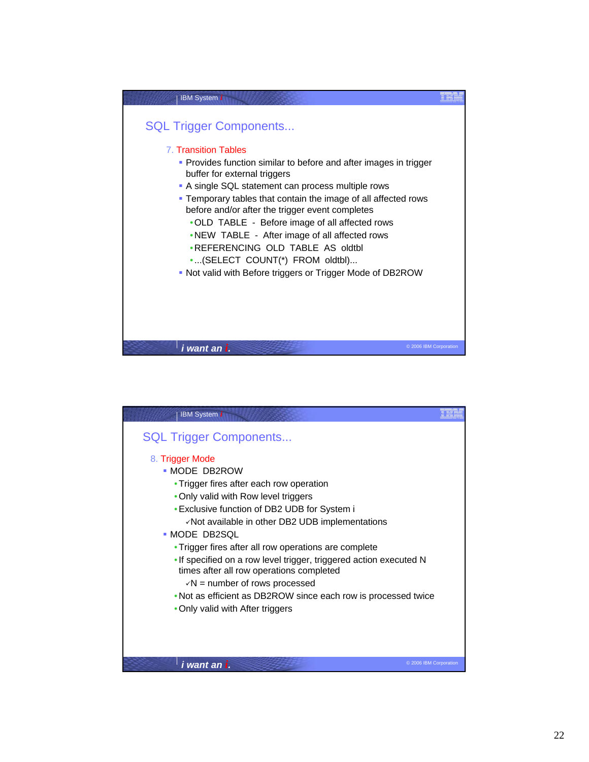

| <b>IBM System i</b>                                                |                        |
|--------------------------------------------------------------------|------------------------|
| <b>SQL Trigger Components</b>                                      |                        |
| 8. Trigger Mode                                                    |                        |
| - MODE DB2ROW                                                      |                        |
| • Trigger fires after each row operation                           |                        |
| • Only valid with Row level triggers                               |                        |
| • Exclusive function of DB2 UDB for System i                       |                        |
| √Not available in other DB2 UDB implementations                    |                        |
| • MODE DB2SQL                                                      |                        |
| • Trigger fires after all row operations are complete              |                        |
| . If specified on a row level trigger, triggered action executed N |                        |
| times after all row operations completed                           |                        |
| $\sqrt{N}$ = number of rows processed                              |                        |
| . Not as efficient as DB2ROW since each row is processed twice     |                        |
| • Only valid with After triggers                                   |                        |
|                                                                    |                        |
|                                                                    |                        |
|                                                                    |                        |
|                                                                    | © 2006 IBM Corporation |
| i want an i.                                                       |                        |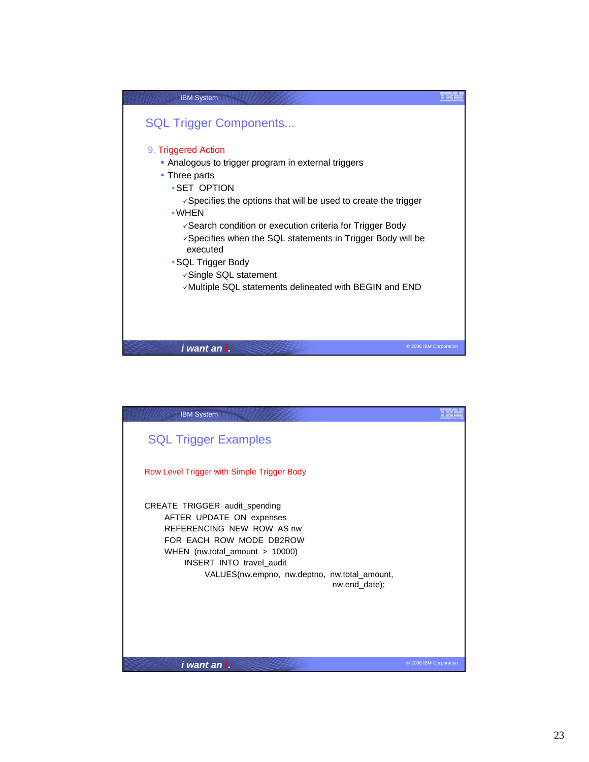

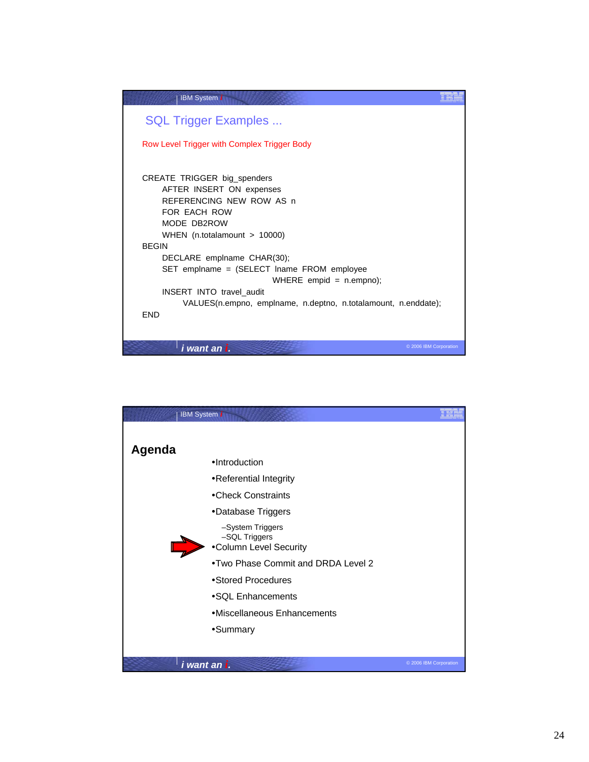| <b>IBM System i</b>                                            |                        |
|----------------------------------------------------------------|------------------------|
| <b>SQL Trigger Examples </b>                                   |                        |
| Row Level Trigger with Complex Trigger Body                    |                        |
|                                                                |                        |
| CREATE TRIGGER big_spenders                                    |                        |
| AFTER INSERT ON expenses                                       |                        |
| REFERENCING NEW ROW AS n<br>FOR FACH ROW                       |                        |
| MODE DB2ROW                                                    |                        |
| WHEN $(n.total amount > 10000)$                                |                        |
| <b>BEGIN</b>                                                   |                        |
| DECLARE emplname CHAR(30);                                     |                        |
| SET emplname = (SELECT lname FROM employee                     |                        |
| WHERE empid = $n$ .empno);                                     |                        |
| <b>INSERT INTO travel audit</b>                                |                        |
| VALUES(n.empno, emplname, n.deptno, n.totalamount, n.enddate); |                        |
| <b>FND</b>                                                     |                        |
|                                                                |                        |
|                                                                |                        |
| i want an i.                                                   | © 2006 IBM Corporation |

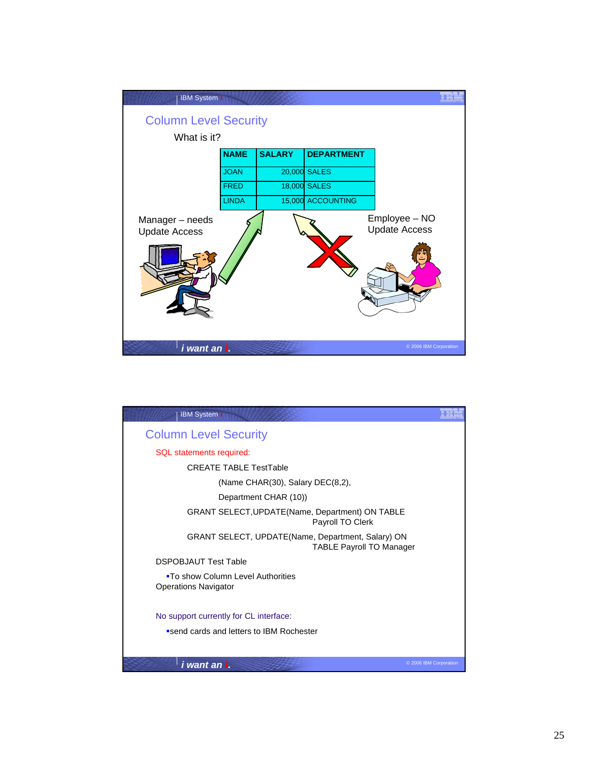

| <b>IBM System i</b>                                                                  |                        |
|--------------------------------------------------------------------------------------|------------------------|
| <b>Column Level Security</b>                                                         |                        |
| SQL statements required:                                                             |                        |
| <b>CREATE TABLE TestTable</b>                                                        |                        |
| (Name CHAR(30), Salary DEC(8,2),                                                     |                        |
| Department CHAR (10))                                                                |                        |
| <b>GRANT SELECT, UPDATE (Name, Department) ON TABLE</b><br>Payroll TO Clerk          |                        |
| GRANT SELECT, UPDATE(Name, Department, Salary) ON<br><b>TABLE Payroll TO Manager</b> |                        |
| <b>DSPOBJAUT Test Table</b>                                                          |                        |
| <b>-To show Column Level Authorities</b><br><b>Operations Navigator</b>              |                        |
| No support currently for CL interface:                                               |                        |
| send cards and letters to IBM Rochester                                              |                        |
| <i>i want an i.</i>                                                                  | © 2006 IBM Corporation |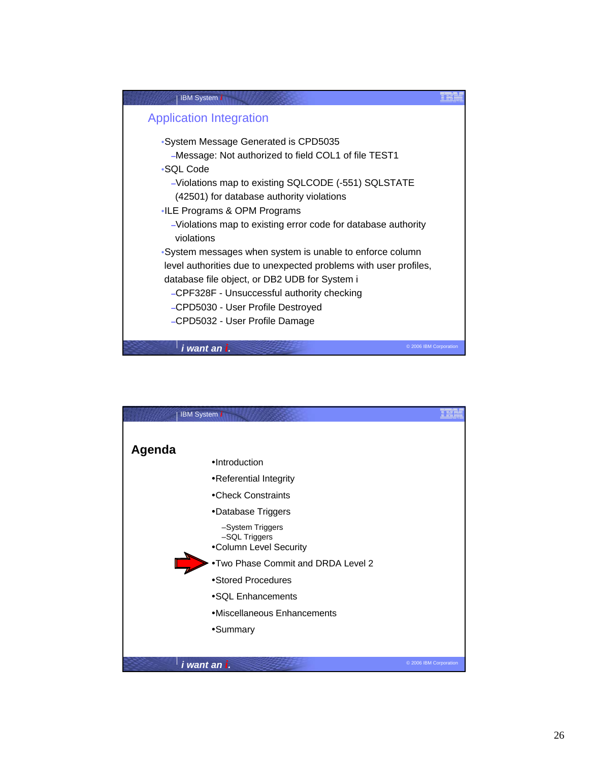

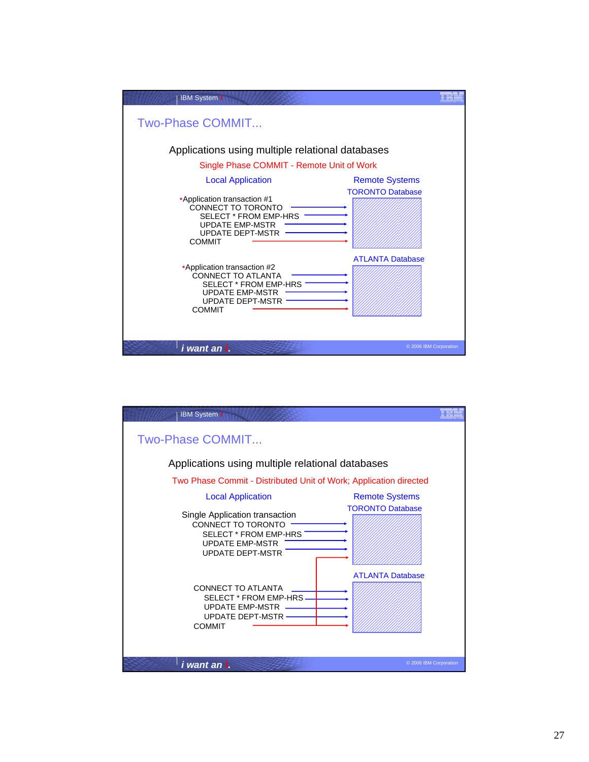| <b>IBM System i</b>                                                                                                                                     |                         |
|---------------------------------------------------------------------------------------------------------------------------------------------------------|-------------------------|
| Two-Phase COMMIT                                                                                                                                        |                         |
| Applications using multiple relational databases                                                                                                        |                         |
| Single Phase COMMIT - Remote Unit of Work                                                                                                               |                         |
| <b>Local Application</b>                                                                                                                                | <b>Remote Systems</b>   |
| •Application transaction #1<br>CONNECT TO TORONTO<br><b>SELECT * FROM EMP-HRS</b><br><b>UPDATE EMP-MSTR</b><br><b>UPDATE DEPT-MSTR</b><br><b>COMMIT</b> | <b>TORONTO Database</b> |
| •Application transaction #2<br>CONNECT TO ATLANTA<br>SELECT * FROM EMP-HRS<br><b>UPDATE EMP-MSTR</b><br><b>UPDATE DEPT-MSTR</b><br><b>COMMIT</b>        | <b>ATLANTA Database</b> |
| i want an i.                                                                                                                                            | © 2006 IBM Corporation  |

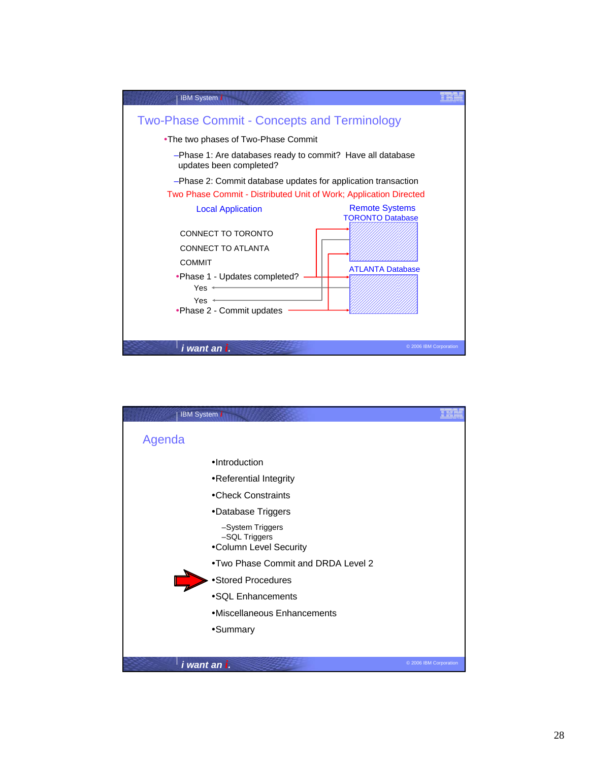

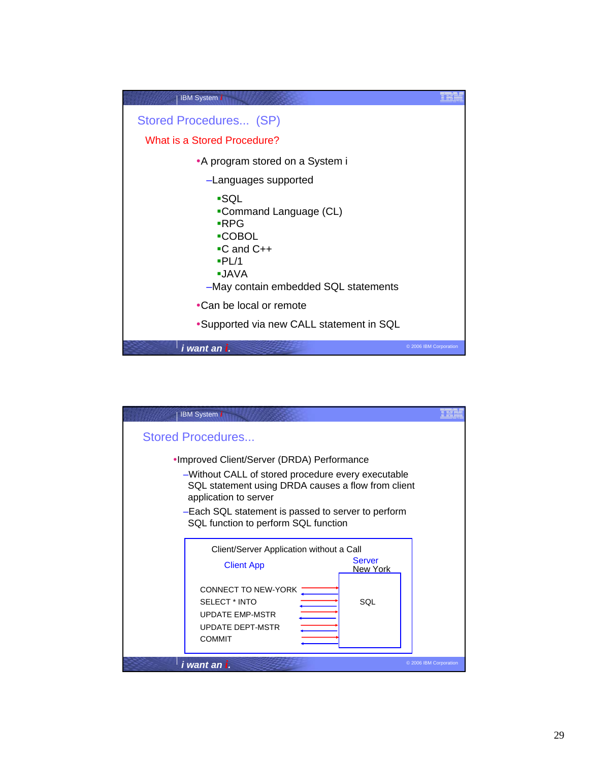

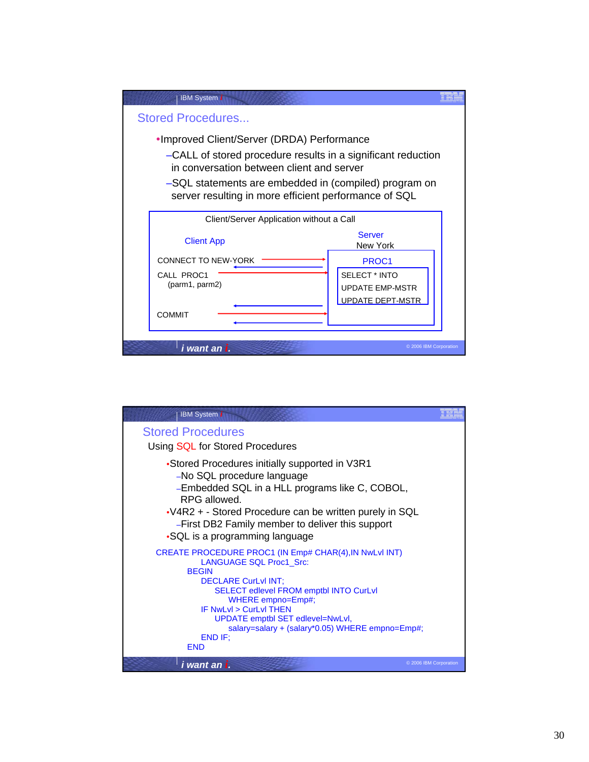

| <b>IBM System i</b>                                                                                                                                                                                                                                                                                                                                      |                        |
|----------------------------------------------------------------------------------------------------------------------------------------------------------------------------------------------------------------------------------------------------------------------------------------------------------------------------------------------------------|------------------------|
| <b>Stored Procedures</b><br>Using SQL for Stored Procedures                                                                                                                                                                                                                                                                                              |                        |
| •Stored Procedures initially supported in V3R1<br>-No SQL procedure language<br>-Embedded SQL in a HLL programs like C, COBOL,<br>RPG allowed.<br>•V4R2 + - Stored Procedure can be written purely in SQL<br>-First DB2 Family member to deliver this support<br>•SQL is a programming language                                                          |                        |
| CREATE PROCEDURE PROC1 (IN Emp# CHAR(4), IN NwLvI INT)<br><b>LANGUAGE SQL Proc1_Src:</b><br><b>BFGIN</b><br><b>DECLARE CurLvI INT;</b><br><b>SELECT edlevel FROM emptbl INTO CurLvI</b><br>WHERE empno=Emp#;<br>IF Nwl vl > Curl vl THFN<br>UPDATE emptbl SET edlevel=NwLvl,<br>salary=salary + (salary*0.05) WHERE empno=Emp#;<br>END IF:<br><b>END</b> |                        |
| i want an i.                                                                                                                                                                                                                                                                                                                                             | © 2006 IBM Corporation |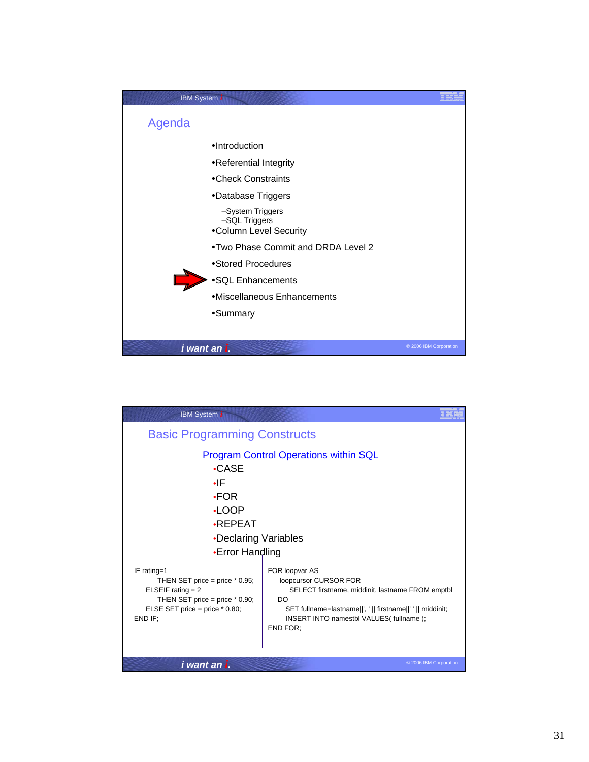

| <b>IBM System i</b>                                                                                                                                       |                                                                                                                                                                                                                              |
|-----------------------------------------------------------------------------------------------------------------------------------------------------------|------------------------------------------------------------------------------------------------------------------------------------------------------------------------------------------------------------------------------|
| <b>Basic Programming Constructs</b>                                                                                                                       |                                                                                                                                                                                                                              |
| •CASE<br>٠IF<br>$-FOR$<br>$\cdot$ LOOP<br><b>•REPEAT</b><br>•Declaring Variables<br>•Error Handling                                                       | <b>Program Control Operations within SQL</b>                                                                                                                                                                                 |
| IF rating=1<br>THEN SET price = price $*$ 0.95;<br>ELSEIF rating $= 2$<br>THEN SET price = price $*$ 0.90;<br>ELSE SET price = price $*$ 0.80;<br>END IF: | FOR loopvar AS<br>loopcursor CURSOR FOR<br>SELECT firstname, middinit, lastname FROM emptbl<br>DO<br>SET fullname=lastname  ', '    firstname  ' '    middinit;<br>INSERT INTO namestbl VALUES(fullname);<br><b>END FOR:</b> |
| i want an i.                                                                                                                                              | © 2006 IBM Corporation                                                                                                                                                                                                       |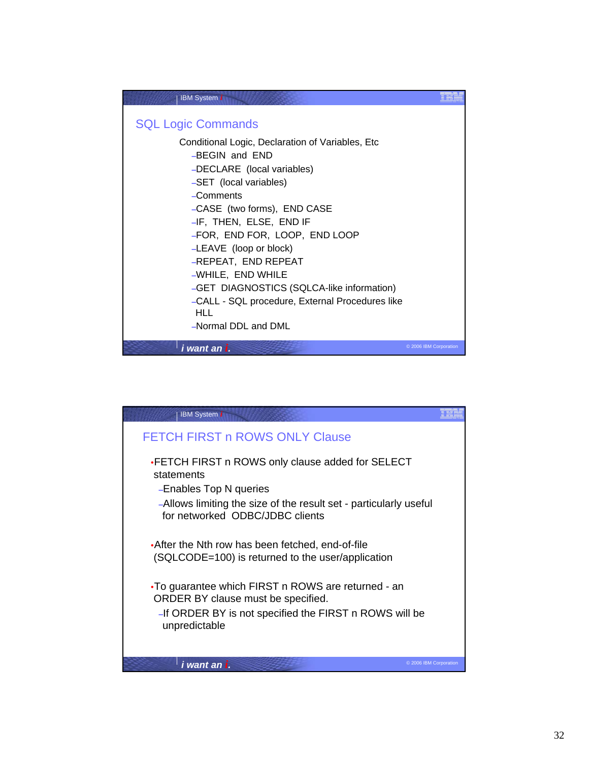

| <b>IBM</b> System i                                                                                    |                        |
|--------------------------------------------------------------------------------------------------------|------------------------|
| <b>FETCH FIRST n ROWS ONLY Clause</b>                                                                  |                        |
| • FETCH FIRST n ROWS only clause added for SELECT<br>statements<br>-Enables Top N queries              |                        |
| -Allows limiting the size of the result set - particularly useful<br>for networked ODBC/JDBC clients   |                        |
| • After the Nth row has been fetched, end-of-file<br>(SQLCODE=100) is returned to the user/application |                        |
| •To guarantee which FIRST n ROWS are returned - an<br>ORDER BY clause must be specified.               |                        |
| -If ORDER BY is not specified the FIRST n ROWS will be<br>unpredictable                                |                        |
| i want an i.                                                                                           | © 2006 IBM Corporation |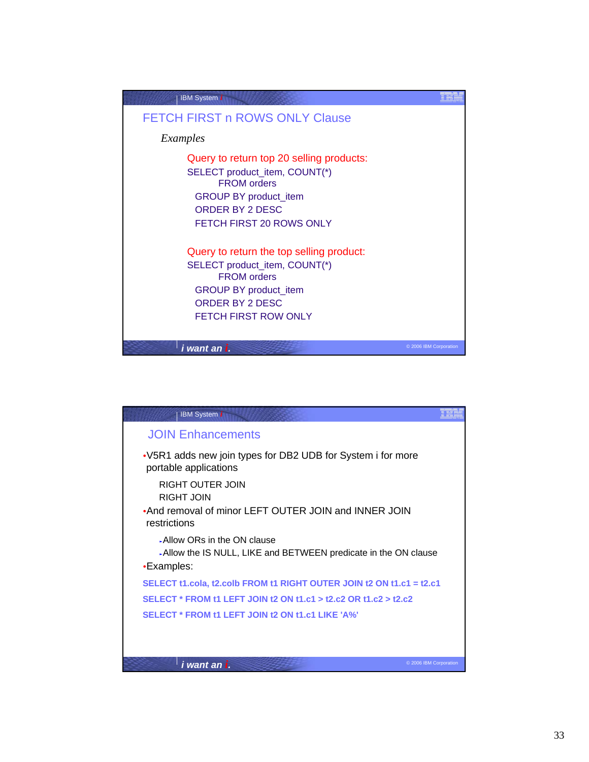

| <b>IBM System i</b>                                                                                        |                        |
|------------------------------------------------------------------------------------------------------------|------------------------|
| <b>JOIN Enhancements</b>                                                                                   |                        |
| •V5R1 adds new join types for DB2 UDB for System i for more<br>portable applications                       |                        |
| RIGHT OUTER JOIN                                                                                           |                        |
| <b>RIGHT JOIN</b><br>•And removal of minor LEFT OUTER JOIN and INNER JOIN<br>restrictions                  |                        |
| Allow ORs in the ON clause<br>Allow the IS NULL, LIKE and BETWEEN predicate in the ON clause<br>•Examples: |                        |
| SELECT t1.cola, t2.colb FROM t1 RIGHT OUTER JOIN t2 ON t1.c1 = t2.c1                                       |                        |
| SELECT * FROM t1 LEFT JOIN t2 ON t1.c1 > t2.c2 OR t1.c2 > t2.c2                                            |                        |
| SELECT * FROM t1 LEFT JOIN t2 ON t1.c1 LIKE 'A%'                                                           |                        |
|                                                                                                            |                        |
| i want an i.                                                                                               | © 2006 IBM Corporation |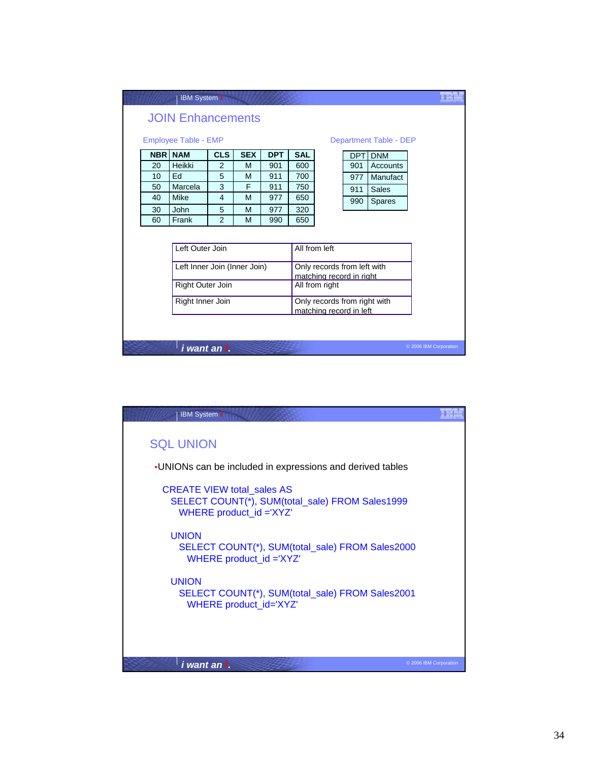|                                                       |    | <b>IBM System i</b>          |                |            |                                                         |            |                                                         |            |               |                        |  |
|-------------------------------------------------------|----|------------------------------|----------------|------------|---------------------------------------------------------|------------|---------------------------------------------------------|------------|---------------|------------------------|--|
| <b>JOIN Enhancements</b>                              |    |                              |                |            |                                                         |            |                                                         |            |               |                        |  |
| <b>Employee Table - EMP</b><br>Department Table - DEP |    |                              |                |            |                                                         |            |                                                         |            |               |                        |  |
|                                                       |    | <b>NBR NAM</b>               | <b>CLS</b>     | <b>SEX</b> | <b>DPT</b>                                              | <b>SAL</b> |                                                         | <b>DPT</b> | <b>DNM</b>    |                        |  |
|                                                       | 20 | Heikki                       | $\overline{2}$ | M          | 901                                                     | 600        |                                                         | 901        | Accounts      |                        |  |
|                                                       | 10 | Ed                           | 5              | M          | 911                                                     | 700        |                                                         | 977        | Manufact      |                        |  |
|                                                       | 50 | Marcela                      | 3              | F          | 911                                                     | 750        |                                                         | 911        | <b>Sales</b>  |                        |  |
|                                                       | 40 | Mike                         | 4              | M          | 977                                                     | 650        |                                                         | 990        | <b>Spares</b> |                        |  |
|                                                       | 30 | <b>John</b>                  | 5              | M          | 977                                                     | 320        |                                                         |            |               |                        |  |
|                                                       | 60 | Frank                        | $\overline{2}$ | M          | 990                                                     | 650        |                                                         |            |               |                        |  |
| Left Outer Join<br>All from left                      |    |                              |                |            |                                                         |            |                                                         |            |               |                        |  |
|                                                       |    | Left Inner Join (Inner Join) |                |            |                                                         |            | Only records from left with<br>matching record in right |            |               |                        |  |
| <b>Right Outer Join</b>                               |    |                              |                |            | All from right                                          |            |                                                         |            |               |                        |  |
| Right Inner Join                                      |    |                              |                |            | Only records from right with<br>matching record in left |            |                                                         |            |               |                        |  |
|                                                       |    |                              |                |            |                                                         |            |                                                         |            |               |                        |  |
|                                                       |    | i want an i.                 |                |            |                                                         |            |                                                         |            |               | © 2006 IBM Corporation |  |

| <b>IBM System i</b>                                                                                             |                        |
|-----------------------------------------------------------------------------------------------------------------|------------------------|
| <b>SQL UNION</b>                                                                                                |                        |
| . UNIONs can be included in expressions and derived tables                                                      |                        |
| <b>CREATE VIEW total sales AS</b><br>SELECT COUNT(*), SUM(total_sale) FROM Sales1999<br>WHERE product_id ='XYZ' |                        |
| <b>UNION</b><br>SELECT COUNT(*), SUM(total_sale) FROM Sales2000<br>WHERE product_id ='XYZ'                      |                        |
| <b>UNION</b><br>SELECT COUNT(*), SUM(total_sale) FROM Sales2001<br>WHERE product_id='XYZ'                       |                        |
| i want an i.                                                                                                    | © 2006 IBM Corporation |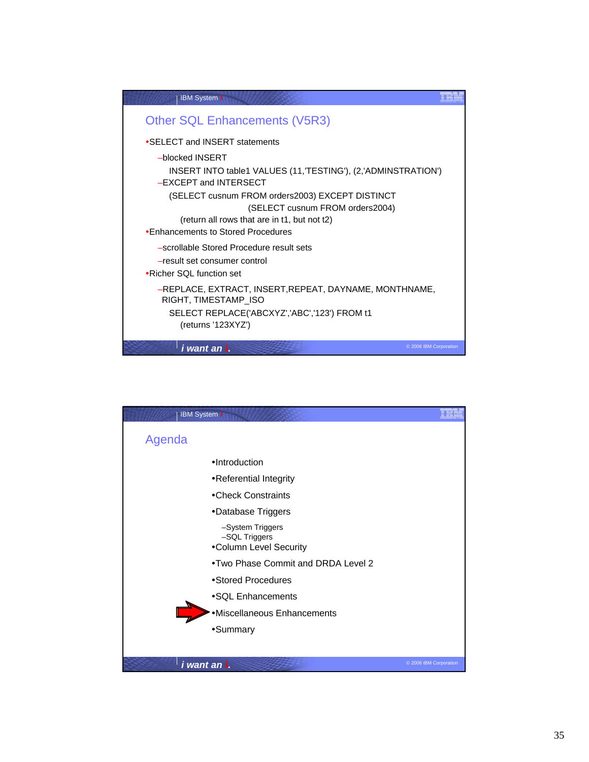| <b>IBM System i</b>                                                                     |                        |
|-----------------------------------------------------------------------------------------|------------------------|
| <b>Other SQL Enhancements (V5R3)</b>                                                    |                        |
| •SELECT and INSERT statements                                                           |                        |
| -blocked INSERT                                                                         |                        |
| INSERT INTO table1 VALUES (11, TESTING'), (2, 'ADMINSTRATION')<br>-EXCEPT and INTERSECT |                        |
|                                                                                         |                        |
| (SELECT cusnum FROM orders2003) EXCEPT DISTINCT                                         |                        |
| (SELECT cusnum FROM orders2004)                                                         |                        |
| (return all rows that are in t1, but not t2)<br>•Enhancements to Stored Procedures      |                        |
|                                                                                         |                        |
| -scrollable Stored Procedure result sets                                                |                        |
| -result set consumer control                                                            |                        |
| •Richer SOL function set                                                                |                        |
| -REPLACE, EXTRACT, INSERT, REPEAT, DAYNAME, MONTHNAME,<br>RIGHT, TIMESTAMP ISO          |                        |
| SELECT REPLACE('ABCXYZ','ABC','123') FROM t1                                            |                        |
| (returns '123XYZ')                                                                      |                        |
| i want an i.                                                                            | © 2006 IBM Corporation |

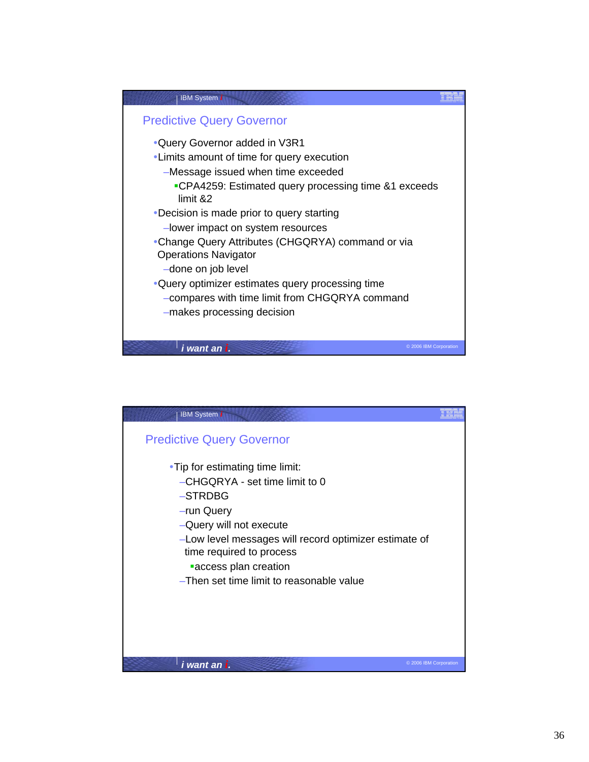

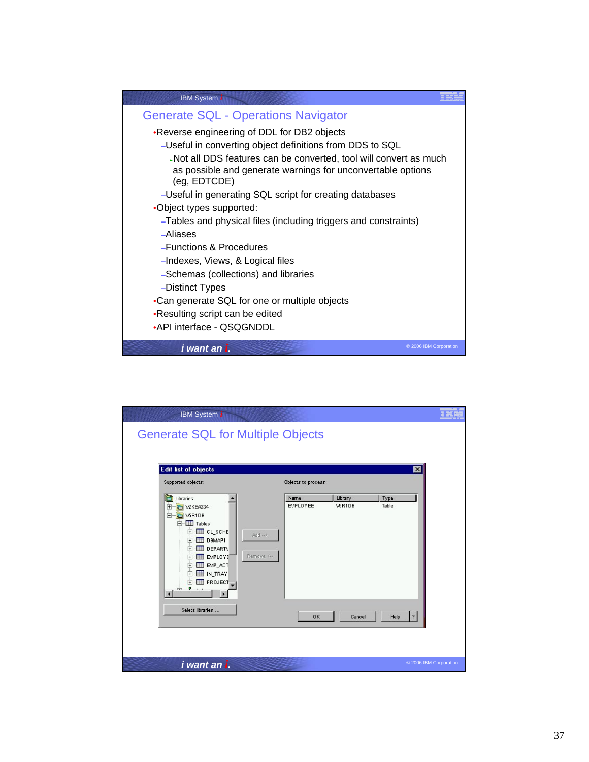

| <b>IBM System i</b>                                                                                                                                                                                             |                                                                               |                     |         |                         |                        |
|-----------------------------------------------------------------------------------------------------------------------------------------------------------------------------------------------------------------|-------------------------------------------------------------------------------|---------------------|---------|-------------------------|------------------------|
| <b>Generate SQL for Multiple Objects</b>                                                                                                                                                                        |                                                                               |                     |         |                         |                        |
| <b>Edit list of objects</b><br>Supported objects:                                                                                                                                                               |                                                                               | Objects to process: |         | $\overline{\mathbf{x}}$ |                        |
| Libraries<br>ſĦ                                                                                                                                                                                                 |                                                                               | Name                | Library | Type                    |                        |
| <b>DE V2KEA234</b><br>田<br>白 石 V5R1DB<br>F-H Tables<br>E-EE CL_SCHE<br>F-E DBMAP1<br>中<br>F-E BMPLOYE<br>E-E BMP ACT<br>E-EI IN_TRAY<br>E-E PROJECT<br>$\mathbf{v}$ and $\mathbf{v}$<br>ńч.<br>$\left  \right $ | $Add \rightarrow$<br><b>EE</b> DEPARTM<br>Remove <--<br>$\blacktriangleright$ | <b>EMPLOYEE</b>     | V5R1DB  | Table                   |                        |
| Select libraries                                                                                                                                                                                                |                                                                               | 0K                  | Cancel  | $\,$ ?<br>Help          |                        |
| i want an i.                                                                                                                                                                                                    |                                                                               |                     |         |                         | © 2006 IBM Corporation |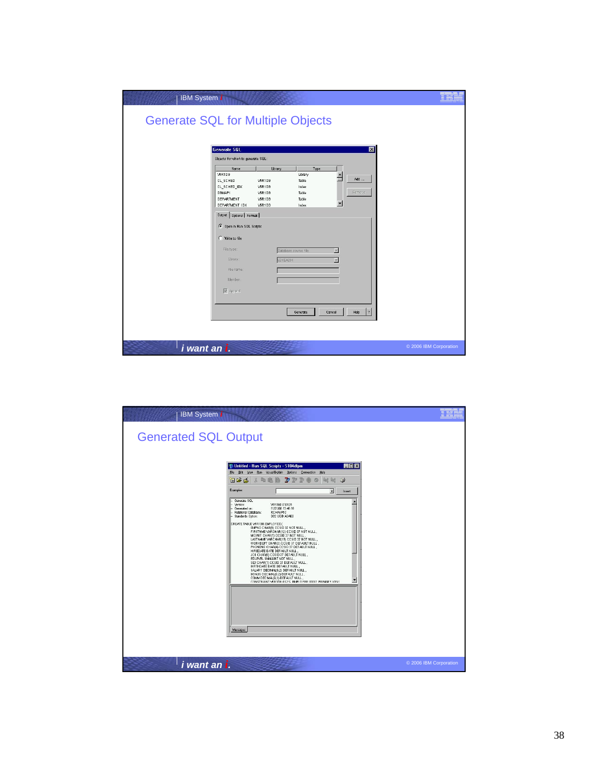| IBM System i                             |                                    |                     |                      |                        |
|------------------------------------------|------------------------------------|---------------------|----------------------|------------------------|
| <b>Generate SQL for Multiple Objects</b> |                                    |                     |                      |                        |
|                                          |                                    |                     |                      |                        |
| Generate SQL                             |                                    |                     | 図                    |                        |
|                                          | Objects for which to generate SQL: |                     |                      |                        |
| V5R1DB                                   | Library<br>Name                    | Type<br>Library     | $\blacktriangle$     |                        |
| CL_SCHED<br>CL_SCHED_IDX                 | VSR1DB<br><b>VSR1DB</b>            | Table<br>Index      | Add                  |                        |
| DBMAP1                                   | <b>VSR1DB</b>                      | Table               | <b>Remove</b>        |                        |
| DEPARTMENT<br>DEPARTMENT IDX             | VSR1DB<br>VSR1DB                   | Table<br>Index      |                      |                        |
|                                          | Output   Options   Format          |                     |                      |                        |
|                                          | C Open in Run SQL Scripts          |                     |                      |                        |
| C Write to file                          |                                    |                     |                      |                        |
| File type:                               |                                    | atabase source file | 因                    |                        |
|                                          | Library:                           | V2KE4234            |                      |                        |
|                                          | File name:                         |                     |                      |                        |
|                                          | Member:                            |                     |                      |                        |
| $\sqrt{\phantom{a}}$ Append              |                                    |                     |                      |                        |
|                                          |                                    |                     |                      |                        |
|                                          |                                    | Generate            | 2 <br>Help<br>Cancel |                        |
|                                          |                                    |                     |                      |                        |
|                                          |                                    |                     |                      |                        |
| <i>i</i> want an <i>i</i> .              |                                    |                     |                      | © 2006 IBM Corporation |

| <b>IBM</b> System <i>i</i>  |                                                                                                                                                                                                                                                                                                                                                                                                                                                                                                                                                                                                                                                                                                                                                                                                   |                        |
|-----------------------------|---------------------------------------------------------------------------------------------------------------------------------------------------------------------------------------------------------------------------------------------------------------------------------------------------------------------------------------------------------------------------------------------------------------------------------------------------------------------------------------------------------------------------------------------------------------------------------------------------------------------------------------------------------------------------------------------------------------------------------------------------------------------------------------------------|------------------------|
| <b>Generated SQL Output</b> |                                                                                                                                                                                                                                                                                                                                                                                                                                                                                                                                                                                                                                                                                                                                                                                                   |                        |
|                             | <b>EDX</b><br>界 Untitled - Run SQL Scripts - S104dfpm<br>File Edit View Run VisualExplain Options Connection Help<br>$\circledcirc$<br>目呼声<br>VOCE<br><b>VIXE</b><br>Examples<br>×<br>Insert                                                                                                                                                                                                                                                                                                                                                                                                                                                                                                                                                                                                      |                        |
|                             | Generate SOL<br>Version:<br>V5R1MD 010525<br>11/21/00 13:48:18<br>Generated on:<br>Relational Database:<br>RCHASP5C<br>DB2 UDB AS/400<br>-- Standards Option:<br>CREATE TABLE V5R1DB. EMPLOYEE (<br>EMPNO CHAR(6) CCSID 37 NOT NULL,<br>FIRSTNME VARCHAR(12) CCSID 37 NOT NULL<br>MIDINIT CHAR(1) CCSID 37 NOT NULL<br>LASTNAME VARCHAR(15) CCSID 37 NOT NULL,<br>WORKDEPT CHAR(3) CCSID 37 DEFAULT NULL,<br>PHONENO CHAR(4) CCSID 37 DEFAULT NULL<br>HIREDATE DATE DEFAULT NULL,<br>JOB CHAR(8) CCSID 37 DEFAULT NULL,<br>EDLEVEL SMALLINT NOT NULL<br>SEX CHAR(1) CCSID 37 DEFAULT NULL,<br>BIRTHDATE DATE DEFAULT NULL,<br>SALARY DECIMAL(9,2) DEFAULT NULL,<br>BONUS DECIMAL(9,2) DEFAULT NULL<br>COMM DECIMAL(9,2) DEFAULT NULL,<br>▼<br>CONSTRAINT VERTOR OSYS. PMPLOYEE 00002 PRIMARY KEYC |                        |
|                             | Messages                                                                                                                                                                                                                                                                                                                                                                                                                                                                                                                                                                                                                                                                                                                                                                                          |                        |
| i want an i.                |                                                                                                                                                                                                                                                                                                                                                                                                                                                                                                                                                                                                                                                                                                                                                                                                   | © 2006 IBM Corporation |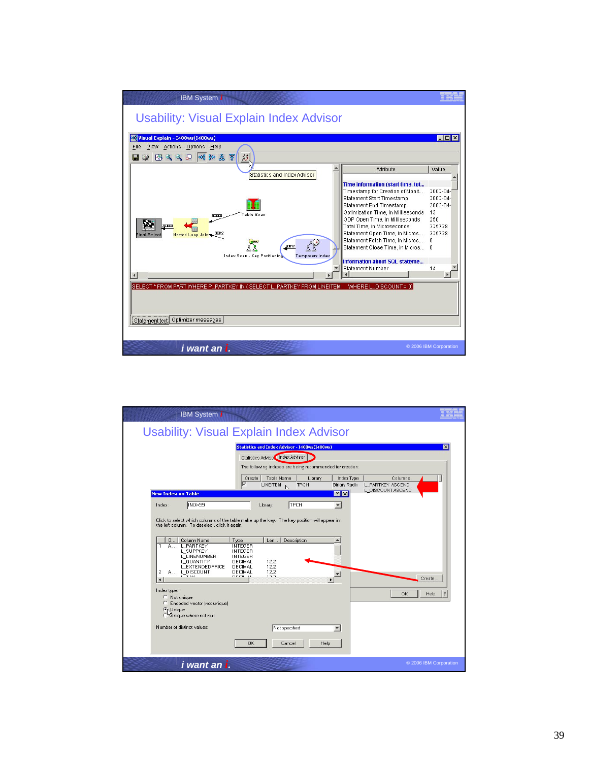

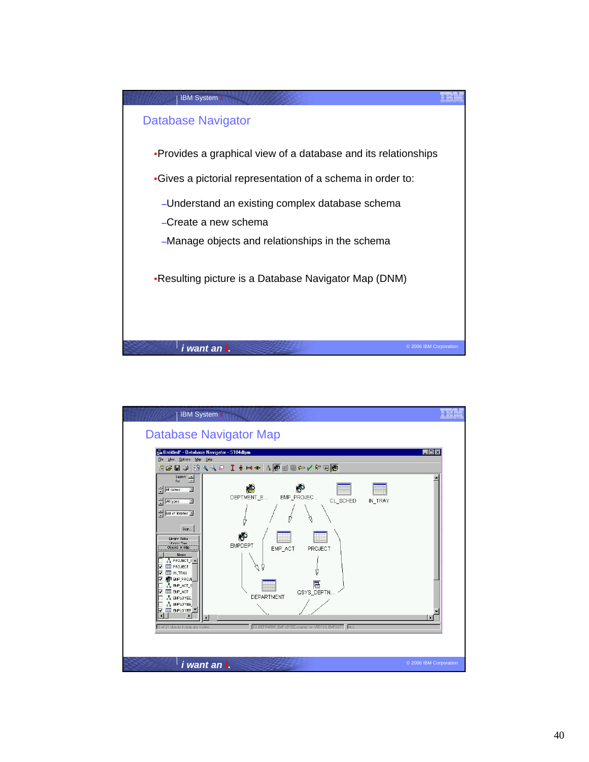

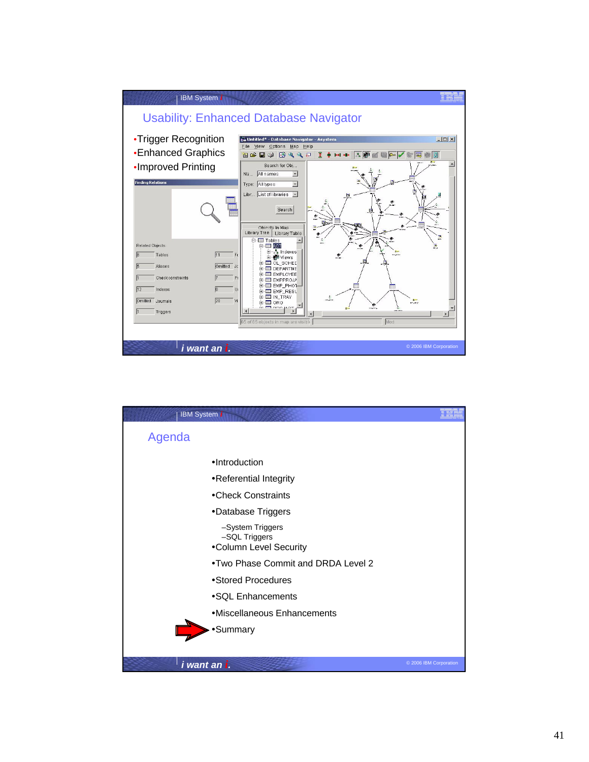